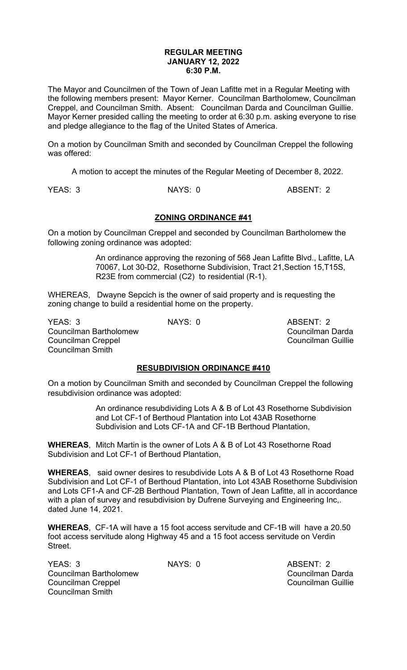#### **REGULAR MEETING JANUARY 12, 2022 6:30 P.M.**

The Mayor and Councilmen of the Town of Jean Lafitte met in a Regular Meeting with the following members present: Mayor Kerner. Councilman Bartholomew, Councilman Creppel, and Councilman Smith. Absent: Councilman Darda and Councilman Guillie. Mayor Kerner presided calling the meeting to order at 6:30 p.m. asking everyone to rise and pledge allegiance to the flag of the United States of America.

On a motion by Councilman Smith and seconded by Councilman Creppel the following was offered:

A motion to accept the minutes of the Regular Meeting of December 8, 2022.

YEAS: 3 NAYS: 0 ABSENT: 2

# **ZONING ORDINANCE #41**

On a motion by Councilman Creppel and seconded by Councilman Bartholomew the following zoning ordinance was adopted:

> An ordinance approving the rezoning of 568 Jean Lafitte Blvd., Lafitte, LA 70067, Lot 30-D2, Rosethorne Subdivision, Tract 21,Section 15,T15S, R23E from commercial (C2) to residential (R-1).

WHEREAS, Dwayne Sepcich is the owner of said property and is requesting the zoning change to build a residential home on the property.

YEAS: 3 NAYS: 0 ABSENT: 2 Councilman Bartholomew Councilman Darda Councilman Creppel Councilman Guillie Councilman Smith

## **RESUBDIVISION ORDINANCE #410**

On a motion by Councilman Smith and seconded by Councilman Creppel the following resubdivision ordinance was adopted:

> An ordinance resubdividing Lots A & B of Lot 43 Rosethorne Subdivision and Lot CF-1 of Berthoud Plantation into Lot 43AB Rosethorne Subdivision and Lots CF-1A and CF-1B Berthoud Plantation,

**WHEREAS**, Mitch Martin is the owner of Lots A & B of Lot 43 Rosethorne Road Subdivision and Lot CF-1 of Berthoud Plantation,

**WHEREAS**, said owner desires to resubdivide Lots A & B of Lot 43 Rosethorne Road Subdivision and Lot CF-1 of Berthoud Plantation, into Lot 43AB Rosethorne Subdivision and Lots CF1-A and CF-2B Berthoud Plantation, Town of Jean Lafitte, all in accordance with a plan of survey and resubdivision by Dufrene Surveying and Engineering Inc,. dated June 14, 2021.

**WHEREAS**, CF-1A will have a 15 foot access servitude and CF-1B will have a 20.50 foot access servitude along Highway 45 and a 15 foot access servitude on Verdin Street.

YEAS: 3 NAYS: 0 ABSENT: 2 Councilman Bartholomew Councilman Darda Councilman Creppel Councilman Guillie Councilman Smith